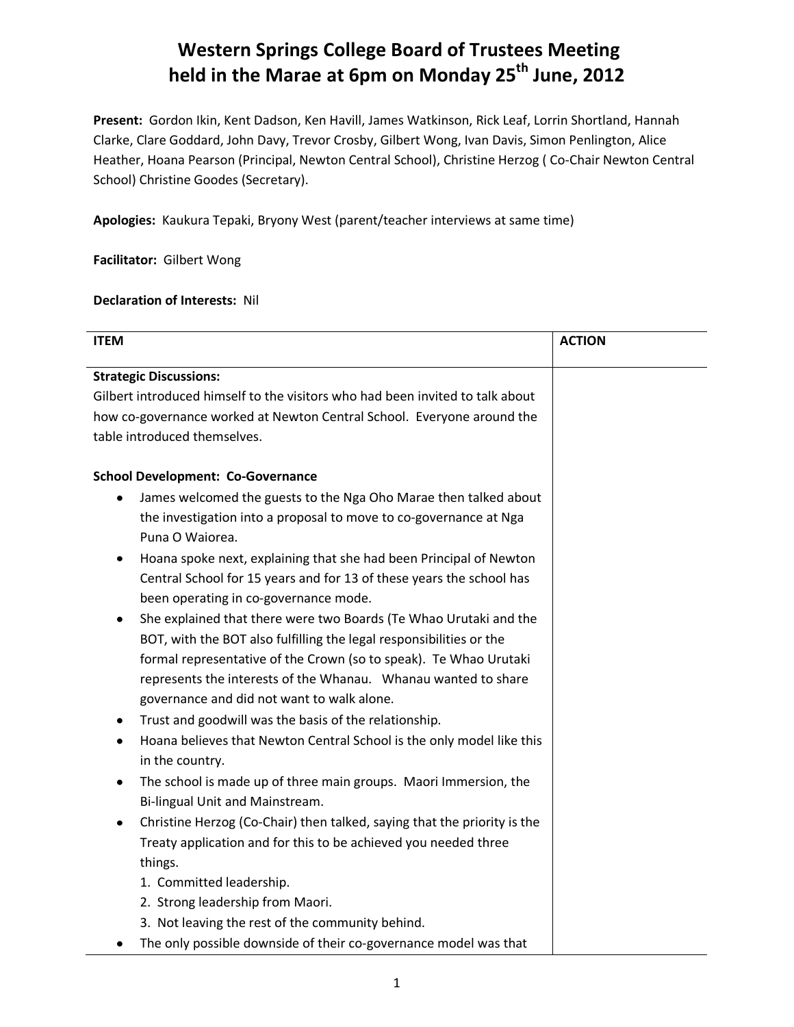# **Western Springs College Board of Trustees Meeting held in the Marae at 6pm on Monday 25 th June, 2012**

**Present:** Gordon Ikin, Kent Dadson, Ken Havill, James Watkinson, Rick Leaf, Lorrin Shortland, Hannah Clarke, Clare Goddard, John Davy, Trevor Crosby, Gilbert Wong, Ivan Davis, Simon Penlington, Alice Heather, Hoana Pearson (Principal, Newton Central School), Christine Herzog ( Co-Chair Newton Central School) Christine Goodes (Secretary).

**Apologies:** Kaukura Tepaki, Bryony West (parent/teacher interviews at same time)

**Facilitator:** Gilbert Wong

## **Declaration of Interests:** Nil

| <b>ITEM</b>                                                                   | <b>ACTION</b> |
|-------------------------------------------------------------------------------|---------------|
|                                                                               |               |
| <b>Strategic Discussions:</b>                                                 |               |
| Gilbert introduced himself to the visitors who had been invited to talk about |               |
| how co-governance worked at Newton Central School. Everyone around the        |               |
| table introduced themselves.                                                  |               |
| <b>School Development: Co-Governance</b>                                      |               |
| James welcomed the guests to the Nga Oho Marae then talked about<br>٠         |               |
| the investigation into a proposal to move to co-governance at Nga             |               |
| Puna O Waiorea.                                                               |               |
| Hoana spoke next, explaining that she had been Principal of Newton<br>٠       |               |
| Central School for 15 years and for 13 of these years the school has          |               |
| been operating in co-governance mode.                                         |               |
| She explained that there were two Boards (Te Whao Urutaki and the<br>٠        |               |
| BOT, with the BOT also fulfilling the legal responsibilities or the           |               |
| formal representative of the Crown (so to speak). Te Whao Urutaki             |               |
| represents the interests of the Whanau. Whanau wanted to share                |               |
| governance and did not want to walk alone.                                    |               |
| Trust and goodwill was the basis of the relationship.<br>٠                    |               |
| Hoana believes that Newton Central School is the only model like this<br>٠    |               |
| in the country.                                                               |               |
| The school is made up of three main groups. Maori Immersion, the<br>٠         |               |
| Bi-lingual Unit and Mainstream.                                               |               |
| Christine Herzog (Co-Chair) then talked, saying that the priority is the<br>٠ |               |
| Treaty application and for this to be achieved you needed three               |               |
| things.                                                                       |               |
| 1. Committed leadership.                                                      |               |
| 2. Strong leadership from Maori.                                              |               |
| 3. Not leaving the rest of the community behind.                              |               |
| The only possible downside of their co-governance model was that<br>٠         |               |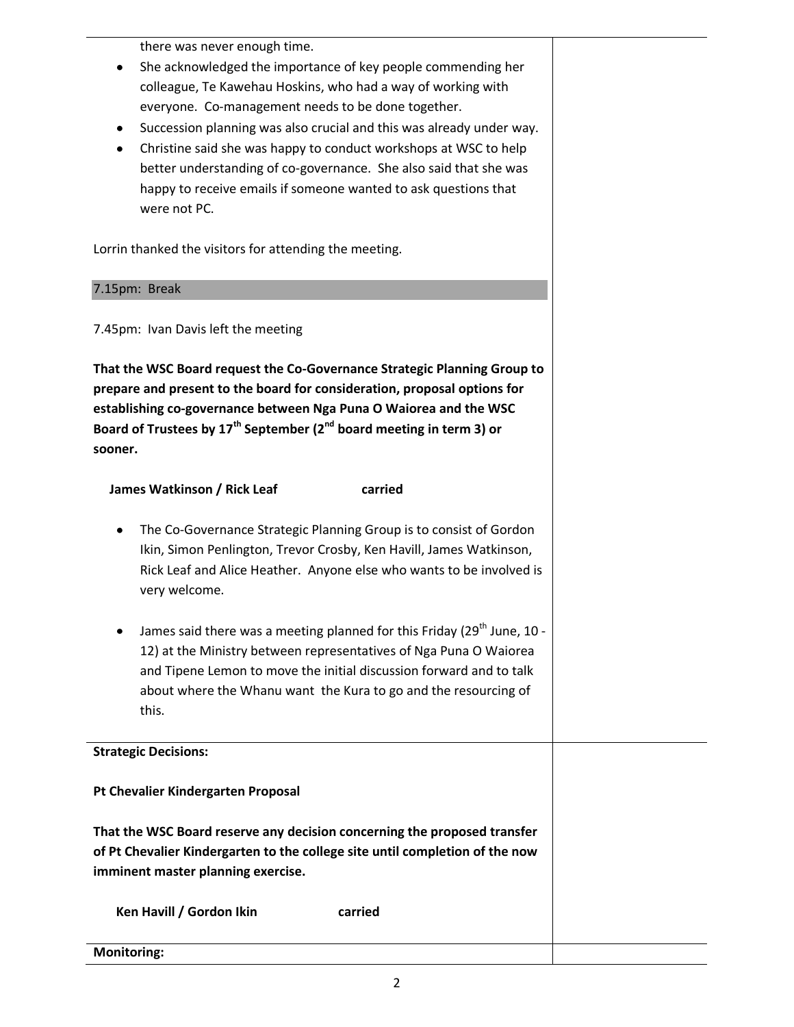there was never enough time.

- She acknowledged the importance of key people commending her  $\bullet$ colleague, Te Kawehau Hoskins, who had a way of working with everyone. Co-management needs to be done together.
- Succession planning was also crucial and this was already under way.
- Christine said she was happy to conduct workshops at WSC to help better understanding of co-governance. She also said that she was happy to receive emails if someone wanted to ask questions that were not PC.

Lorrin thanked the visitors for attending the meeting.

#### 7.15pm: Break

7.45pm: Ivan Davis left the meeting

**That the WSC Board request the Co-Governance Strategic Planning Group to prepare and present to the board for consideration, proposal options for establishing co-governance between Nga Puna O Waiorea and the WSC Board of Trustees by 17th September (2nd board meeting in term 3) or sooner.**

## **James Watkinson / Rick Leaf carried**

- The Co-Governance Strategic Planning Group is to consist of Gordon Ikin, Simon Penlington, Trevor Crosby, Ken Havill, James Watkinson, Rick Leaf and Alice Heather. Anyone else who wants to be involved is very welcome.
- James said there was a meeting planned for this Friday (29<sup>th</sup> June, 10 -12) at the Ministry between representatives of Nga Puna O Waiorea and Tipene Lemon to move the initial discussion forward and to talk about where the Whanu want the Kura to go and the resourcing of this.

#### **Strategic Decisions:**

**Pt Chevalier Kindergarten Proposal**

**That the WSC Board reserve any decision concerning the proposed transfer of Pt Chevalier Kindergarten to the college site until completion of the now imminent master planning exercise.**

| Ken Havill / Gordon Ikin | carried |  |
|--------------------------|---------|--|
| <b>Monitoring:</b>       |         |  |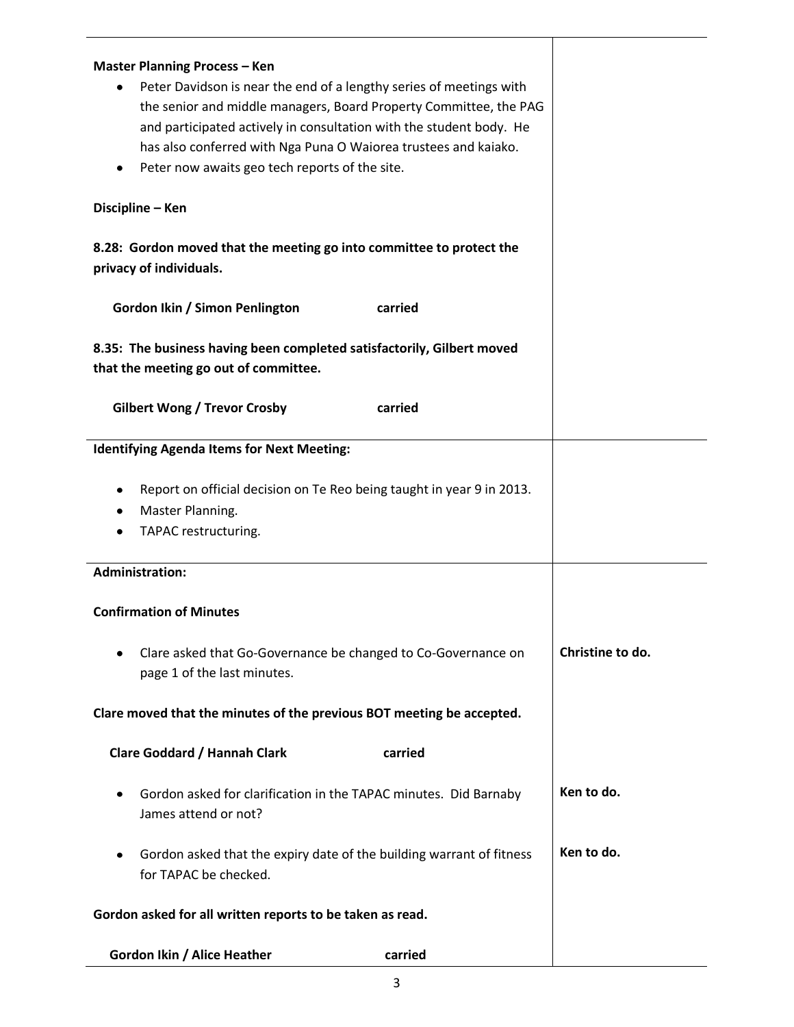| <b>Master Planning Process - Ken</b><br>Peter Davidson is near the end of a lengthy series of meetings with<br>٠<br>the senior and middle managers, Board Property Committee, the PAG<br>and participated actively in consultation with the student body. He<br>has also conferred with Nga Puna O Waiorea trustees and kaiako.<br>Peter now awaits geo tech reports of the site. |                  |  |  |
|-----------------------------------------------------------------------------------------------------------------------------------------------------------------------------------------------------------------------------------------------------------------------------------------------------------------------------------------------------------------------------------|------------------|--|--|
| Discipline - Ken                                                                                                                                                                                                                                                                                                                                                                  |                  |  |  |
| 8.28: Gordon moved that the meeting go into committee to protect the<br>privacy of individuals.                                                                                                                                                                                                                                                                                   |                  |  |  |
| Gordon Ikin / Simon Penlington<br>carried                                                                                                                                                                                                                                                                                                                                         |                  |  |  |
| 8.35: The business having been completed satisfactorily, Gilbert moved<br>that the meeting go out of committee.                                                                                                                                                                                                                                                                   |                  |  |  |
| <b>Gilbert Wong / Trevor Crosby</b><br>carried                                                                                                                                                                                                                                                                                                                                    |                  |  |  |
| <b>Identifying Agenda Items for Next Meeting:</b>                                                                                                                                                                                                                                                                                                                                 |                  |  |  |
| Report on official decision on Te Reo being taught in year 9 in 2013.<br>٠<br>Master Planning.<br>٠<br>TAPAC restructuring.                                                                                                                                                                                                                                                       |                  |  |  |
| <b>Administration:</b>                                                                                                                                                                                                                                                                                                                                                            |                  |  |  |
| <b>Confirmation of Minutes</b>                                                                                                                                                                                                                                                                                                                                                    |                  |  |  |
| Clare asked that Go-Governance be changed to Co-Governance on<br>page 1 of the last minutes.                                                                                                                                                                                                                                                                                      | Christine to do. |  |  |
| Clare moved that the minutes of the previous BOT meeting be accepted.                                                                                                                                                                                                                                                                                                             |                  |  |  |
| <b>Clare Goddard / Hannah Clark</b><br>carried                                                                                                                                                                                                                                                                                                                                    |                  |  |  |
| Gordon asked for clarification in the TAPAC minutes. Did Barnaby<br>٠<br>James attend or not?                                                                                                                                                                                                                                                                                     | Ken to do.       |  |  |
| Gordon asked that the expiry date of the building warrant of fitness<br>٠<br>for TAPAC be checked.                                                                                                                                                                                                                                                                                | Ken to do.       |  |  |
| Gordon asked for all written reports to be taken as read.                                                                                                                                                                                                                                                                                                                         |                  |  |  |
| Gordon Ikin / Alice Heather<br>carried                                                                                                                                                                                                                                                                                                                                            |                  |  |  |

3